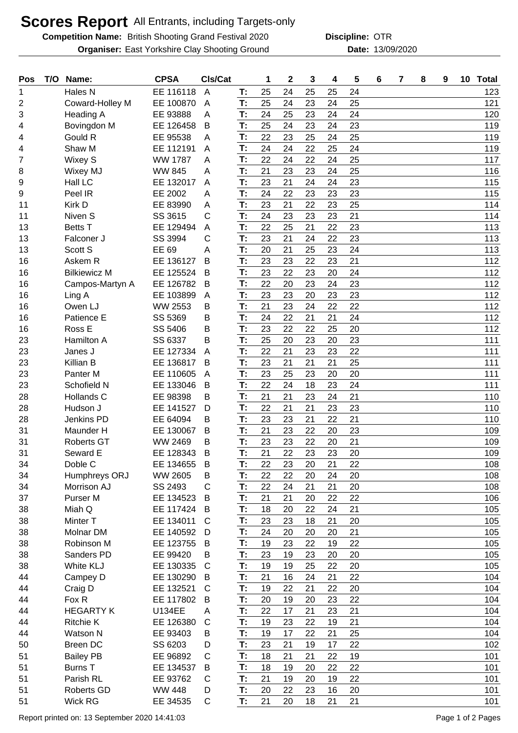## **Scores Report** All Entrants, including Targets-only

**Competition Name:** British Shooting Grand Festival 2020 **Discipline: OTR Organiser:** East Yorkshire Clay Shooting Ground **13/09/2020** Date: 13/09/2020

**Discipline:**

| Pos | T/O | Name:               | <b>CPSA</b>    | CIs/Cat        |    | 1  | $\mathbf 2$ | 3  | 4  | 5  | 6 | 7 | 8 | 9 | 10 Total |
|-----|-----|---------------------|----------------|----------------|----|----|-------------|----|----|----|---|---|---|---|----------|
| 1   |     | Hales N             | EE 116118      | $\overline{A}$ | T: | 25 | 24          | 25 | 25 | 24 |   |   |   |   | 123      |
| 2   |     | Coward-Holley M     | EE 100870      | A              | T: | 25 | 24          | 23 | 24 | 25 |   |   |   |   | 121      |
| 3   |     | <b>Heading A</b>    | EE 93888       | Α              | T: | 24 | 25          | 23 | 24 | 24 |   |   |   |   | 120      |
| 4   |     | Bovingdon M         | EE 126458      | B              | T: | 25 | 24          | 23 | 24 | 23 |   |   |   |   | 119      |
| 4   |     | Gould R             | EE 95538       | A              | T: | 22 | 23          | 25 | 24 | 25 |   |   |   |   | 119      |
| 4   |     | Shaw M              | EE 112191      | A              | T: | 24 | 24          | 22 | 25 | 24 |   |   |   |   | 119      |
| 7   |     | Wixey S             | <b>WW 1787</b> | Α              | T: | 22 | 24          | 22 | 24 | 25 |   |   |   |   | 117      |
| 8   |     | Wixey MJ            | <b>WW 845</b>  | Α              | T: | 21 | 23          | 23 | 24 | 25 |   |   |   |   | 116      |
| 9   |     | Hall LC             | EE 132017      | A              | T: | 23 | 21          | 24 | 24 | 23 |   |   |   |   | 115      |
| 9   |     | Peel IR             | EE 2002        | A              | T: | 24 | 22          | 23 | 23 | 23 |   |   |   |   | 115      |
| 11  |     | Kirk D              | EE 83990       | A              | T: | 23 | 21          | 22 | 23 | 25 |   |   |   |   | 114      |
| 11  |     | Niven S             | SS 3615        | C              | T: | 24 | 23          | 23 | 23 | 21 |   |   |   |   | 114      |
| 13  |     | <b>Betts T</b>      | EE 129494      | A              | T: | 22 | 25          | 21 | 22 | 23 |   |   |   |   | 113      |
| 13  |     | Falconer J          | SS 3994        | С              | T: | 23 | 21          | 24 | 22 | 23 |   |   |   |   | 113      |
| 13  |     | Scott S             | EE 69          | A              | T: | 20 | 21          | 25 | 23 | 24 |   |   |   |   | 113      |
| 16  |     | Askem R             | EE 136127      | B              | T: | 23 | 23          | 22 | 23 | 21 |   |   |   |   | 112      |
| 16  |     | <b>Bilkiewicz M</b> | EE 125524      | B              | T: | 23 | 22          | 23 | 20 | 24 |   |   |   |   | 112      |
| 16  |     | Campos-Martyn A     | EE 126782      | B              | T: | 22 | 20          | 23 | 24 | 23 |   |   |   |   | 112      |
| 16  |     | Ling A              | EE 103899      | A              | T: | 23 | 23          | 20 | 23 | 23 |   |   |   |   | 112      |
| 16  |     | Owen LJ             | <b>WW 2553</b> | B              | T: | 21 | 23          | 24 | 22 | 22 |   |   |   |   | 112      |
| 16  |     | Patience E          | SS 5369        | Β              | T: | 24 | 22          | 21 | 21 | 24 |   |   |   |   | 112      |
| 16  |     | Ross E              | SS 5406        | В              | T: | 23 | 22          | 22 | 25 | 20 |   |   |   |   | 112      |
| 23  |     | Hamilton A          | SS 6337        | В              | T: | 25 | 20          | 23 | 20 | 23 |   |   |   |   | 111      |
| 23  |     | Janes J             | EE 127334      | A              | T: | 22 | 21          | 23 | 23 | 22 |   |   |   |   | 111      |
| 23  |     | Killian B           | EE 136817      | B              | T: | 23 | 21          | 21 | 21 | 25 |   |   |   |   | 111      |
| 23  |     | Panter <sub>M</sub> | EE 110605      | A              | T: | 23 | 25          | 23 | 20 | 20 |   |   |   |   | 111      |
| 23  |     | Schofield N         | EE 133046      | B              | T: | 22 | 24          | 18 | 23 | 24 |   |   |   |   | 111      |
| 28  |     | Hollands C          | EE 98398       | Β              | T: | 21 | 21          | 23 | 24 | 21 |   |   |   |   | 110      |
| 28  |     | Hudson J            | EE 141527      | D              | T: | 22 | 21          | 21 | 23 | 23 |   |   |   |   | 110      |
| 28  |     | Jenkins PD          | EE 64094       | B              | T: | 23 | 23          | 21 | 22 | 21 |   |   |   |   | 110      |
| 31  |     | Maunder H           | EE 130067      | B              | T: | 21 | 23          | 22 | 20 | 23 |   |   |   |   | 109      |
| 31  |     | <b>Roberts GT</b>   | WW 2469        | В              | T: | 23 | 23          | 22 | 20 | 21 |   |   |   |   | 109      |
| 31  |     | Seward E            | EE 128343      | B              | T: | 21 | 22          | 23 | 23 | 20 |   |   |   |   | 109      |
| 34  |     | Doble C             | EE 134655      | B              | T: | 22 | 23          | 20 | 21 | 22 |   |   |   |   | 108      |
| 34  |     | Humphreys ORJ       | <b>WW 2605</b> | B              | T: | 22 | 22          | 20 | 24 | 20 |   |   |   |   | 108      |
| 34  |     | Morrison AJ         | SS 2493        | $\mathsf{C}$   | T: | 22 | 24          | 21 | 21 | 20 |   |   |   |   | 108      |
| 37  |     | Purser M            | EE 134523      | B              | T. | 21 | 21          | 20 | 22 | 22 |   |   |   |   | 106      |
| 38  |     | Miah Q              | EE 117424      | B              | T: | 18 | 20          | 22 | 24 | 21 |   |   |   |   | 105      |
| 38  |     | Minter <sub>T</sub> | EE 134011      | C              | T: | 23 | 23          | 18 | 21 | 20 |   |   |   |   | 105      |
| 38  |     | Molnar DM           | EE 140592      | D              | T: | 24 | 20          | 20 | 20 | 21 |   |   |   |   | 105      |
| 38  |     | Robinson M          | EE 123755      | B              | T: | 19 | 23          | 22 | 19 | 22 |   |   |   |   | 105      |
| 38  |     | Sanders PD          | EE 99420       | B              | T: | 23 | 19          | 23 | 20 | 20 |   |   |   |   | 105      |
| 38  |     | White KLJ           | EE 130335      | C              | T: | 19 | 19          | 25 | 22 | 20 |   |   |   |   | 105      |
| 44  |     | Campey D            | EE 130290      | B              | T: | 21 | 16          | 24 | 21 | 22 |   |   |   |   | 104      |
| 44  |     | Craig D             | EE 132521      | C              | T: | 19 | 22          | 21 | 22 | 20 |   |   |   |   | 104      |
| 44  |     | Fox R               | EE 117802      | B              | T: | 20 | 19          | 20 | 23 | 22 |   |   |   |   | 104      |
| 44  |     | <b>HEGARTY K</b>    | <b>U134EE</b>  | A              | T: | 22 | 17          | 21 | 23 | 21 |   |   |   |   | 104      |
| 44  |     | <b>Ritchie K</b>    | EE 126380      | $\mathsf{C}$   | T: | 19 | 23          | 22 | 19 | 21 |   |   |   |   | 104      |
| 44  |     | Watson N            | EE 93403       | B              | T: | 19 | 17          | 22 | 21 | 25 |   |   |   |   | 104      |
| 50  |     | <b>Breen DC</b>     | SS 6203        | D              | T: | 23 | 21          | 19 | 17 | 22 |   |   |   |   | 102      |
| 51  |     | <b>Bailey PB</b>    | EE 96892       | C              | T: | 18 | 21          | 21 | 22 | 19 |   |   |   |   | 101      |
| 51  |     | <b>Burns T</b>      | EE 134537      | B              | T: | 18 | 19          | 20 | 22 | 22 |   |   |   |   | 101      |
| 51  |     | Parish RL           | EE 93762       | C              | T: | 21 | 19          | 20 | 19 | 22 |   |   |   |   | 101      |
| 51  |     | Roberts GD          | <b>WW 448</b>  | D              | T: | 20 | 22          | 23 | 16 | 20 |   |   |   |   | 101      |
| 51  |     | Wick RG             | EE 34535       | C              | T: | 21 | 20          | 18 | 21 | 21 |   |   |   |   | 101      |
|     |     |                     |                |                |    |    |             |    |    |    |   |   |   |   |          |